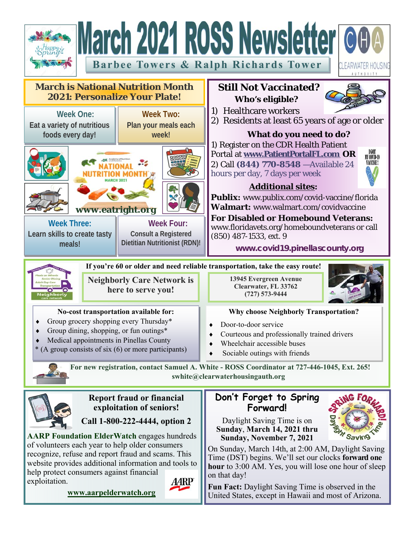

help protect consumers against financial exploitation.



**www.aarpelderwatch.org**

**hour** to 3:00 AM. Yes, you will lose one hour of sleep on that day! **Fun Fact:** Daylight Saving Time is observed in the

United States, except in Hawaii and most of Arizona.